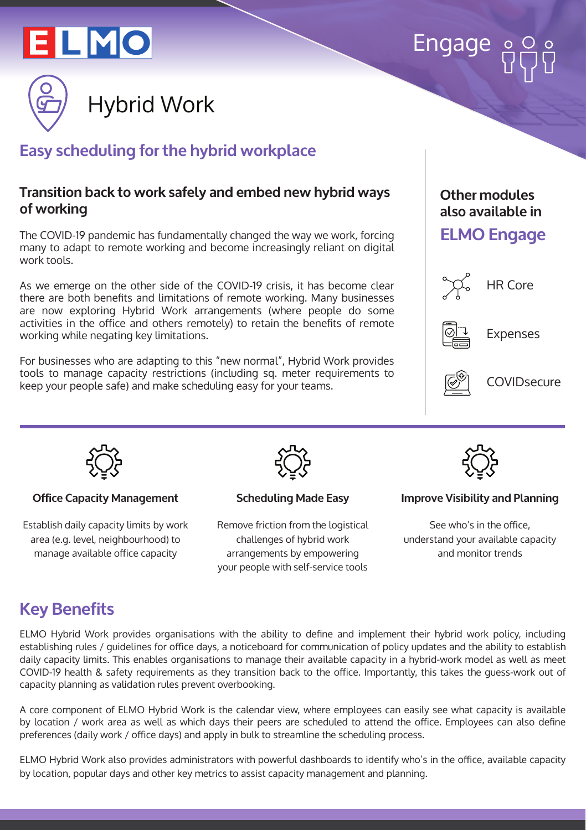

# Engage



# **Easy scheduling for the hybrid workplace**

#### **Transition back to work safely and embed new hybrid ways of working**

The COVID-19 pandemic has fundamentally changed the way we work, forcing many to adapt to remote working and become increasingly reliant on digital work tools.

As we emerge on the other side of the COVID-19 crisis, it has become clear there are both benefits and limitations of remote working. Many businesses are now exploring Hybrid Work arrangements (where people do some activities in the office and others remotely) to retain the benefits of remote working while negating key limitations.

For businesses who are adapting to this "new normal", Hybrid Work provides tools to manage capacity restrictions (including sq. meter requirements to keep your people safe) and make scheduling easy for your teams.

#### **Other modules also available in**

#### **ELMO Engage**



HR Core



Expenses



**COVIDsecure** 



#### **Office Capacity Management**

Establish daily capacity limits by work area (e.g. level, neighbourhood) to manage available office capacity



**Scheduling Made Easy**

Remove friction from the logistical challenges of hybrid work arrangements by empowering your people with self-service tools



**Improve Visibility and Planning**

See who's in the office, understand your available capacity and monitor trends

# **Key Benefits**

ELMO Hybrid Work provides organisations with the ability to define and implement their hybrid work policy, including establishing rules / guidelines for office days, a noticeboard for communication of policy updates and the ability to establish daily capacity limits. This enables organisations to manage their available capacity in a hybrid-work model as well as meet COVID-19 health & safety requirements as they transition back to the office. Importantly, this takes the guess-work out of capacity planning as validation rules prevent overbooking.

A core component of ELMO Hybrid Work is the calendar view, where employees can easily see what capacity is available by location / work area as well as which days their peers are scheduled to attend the office. Employees can also define preferences (daily work / office days) and apply in bulk to streamline the scheduling process.

ELMO Hybrid Work also provides administrators with powerful dashboards to identify who's in the office, available capacity by location, popular days and other key metrics to assist capacity management and planning.